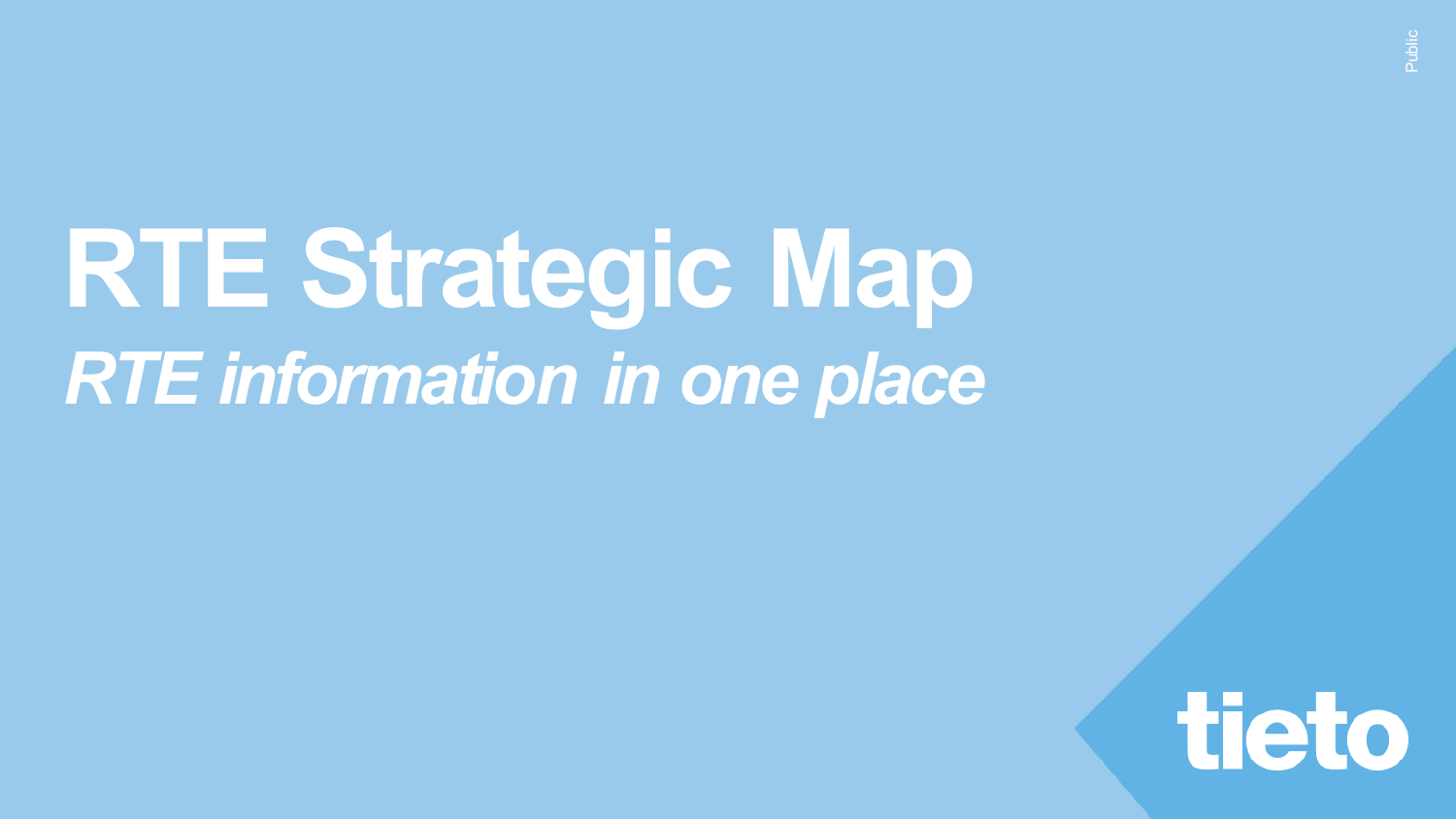# **RTE Strategic Map** *RTE information in one place*

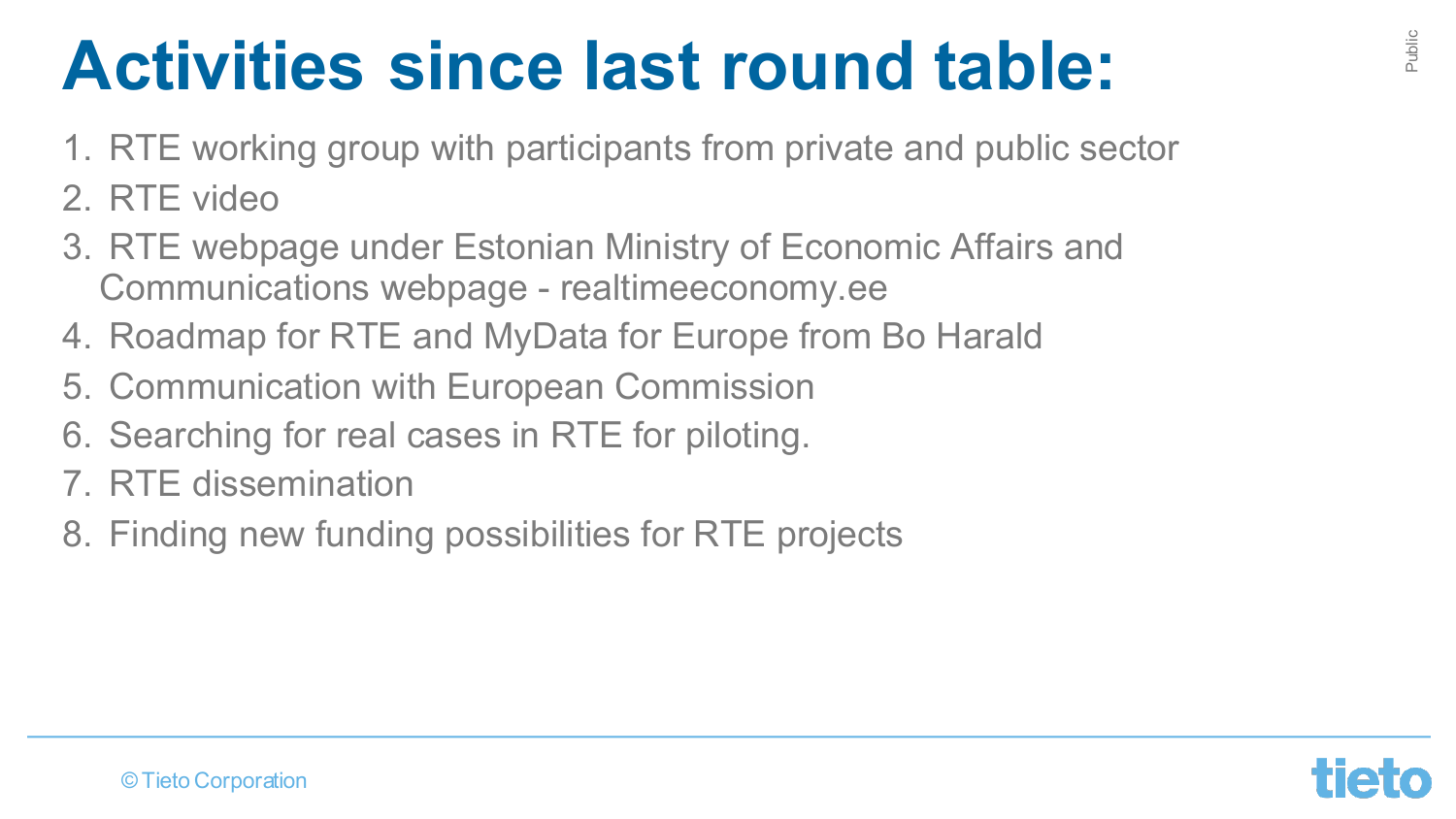#### **Activities since last round table:**

- 1. RTE working group with participants from private and public sector
- 2. RTE video
- 3. RTE webpage under Estonian Ministry of Economic Affairs and Communications webpage - realtimeeconomy.ee
- 4. Roadmap for RTE and MyData for Europe from Bo Harald
- 5. Communication with European Commission
- 6. Searching for real cases in RTE for piloting.
- 7. RTE dissemination
- 8. Finding new funding possibilities for RTE projects

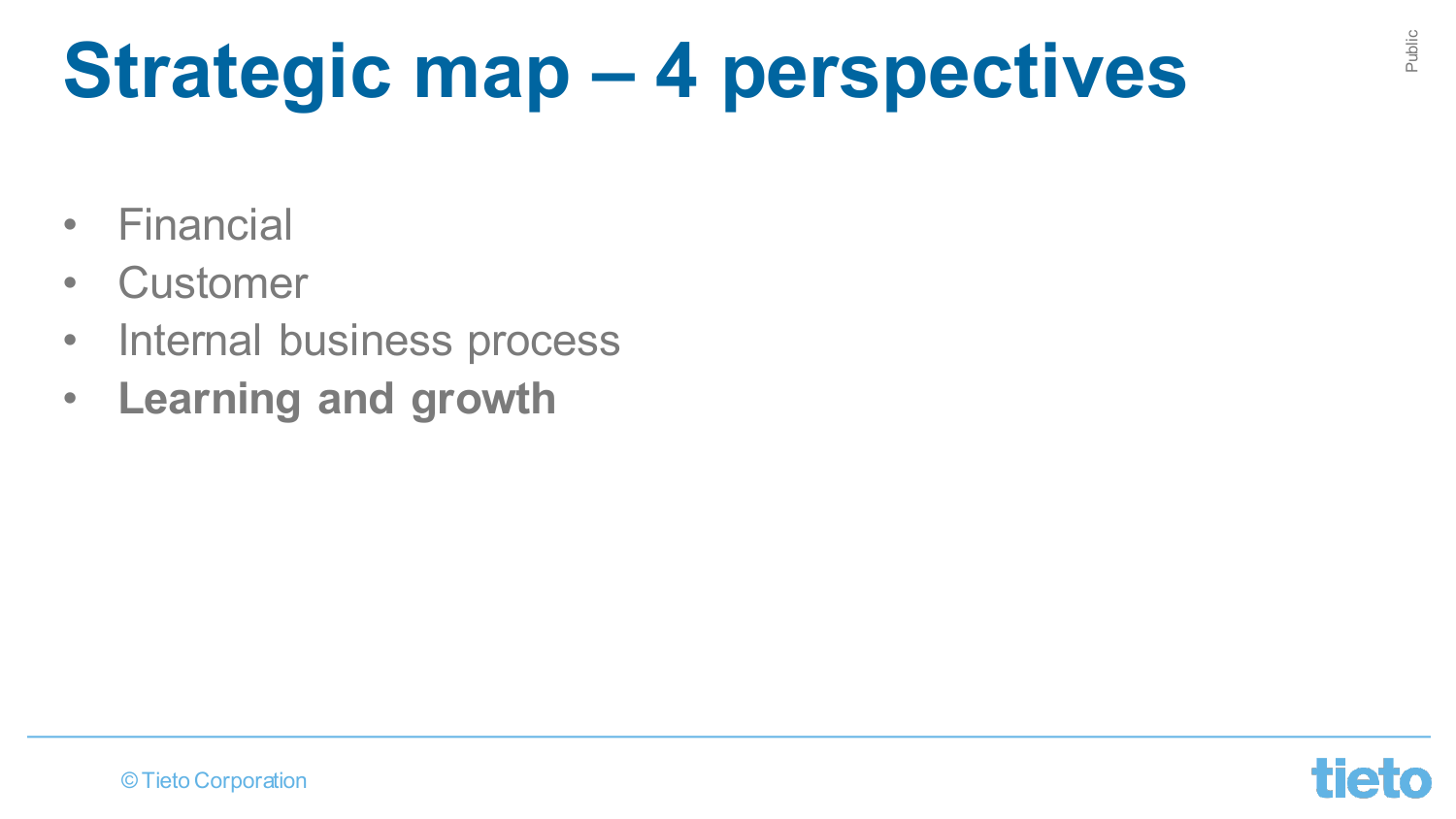# **Strategic map – 4 perspectives**

- Financial
- Customer
- Internal business process
- **Learning and growth**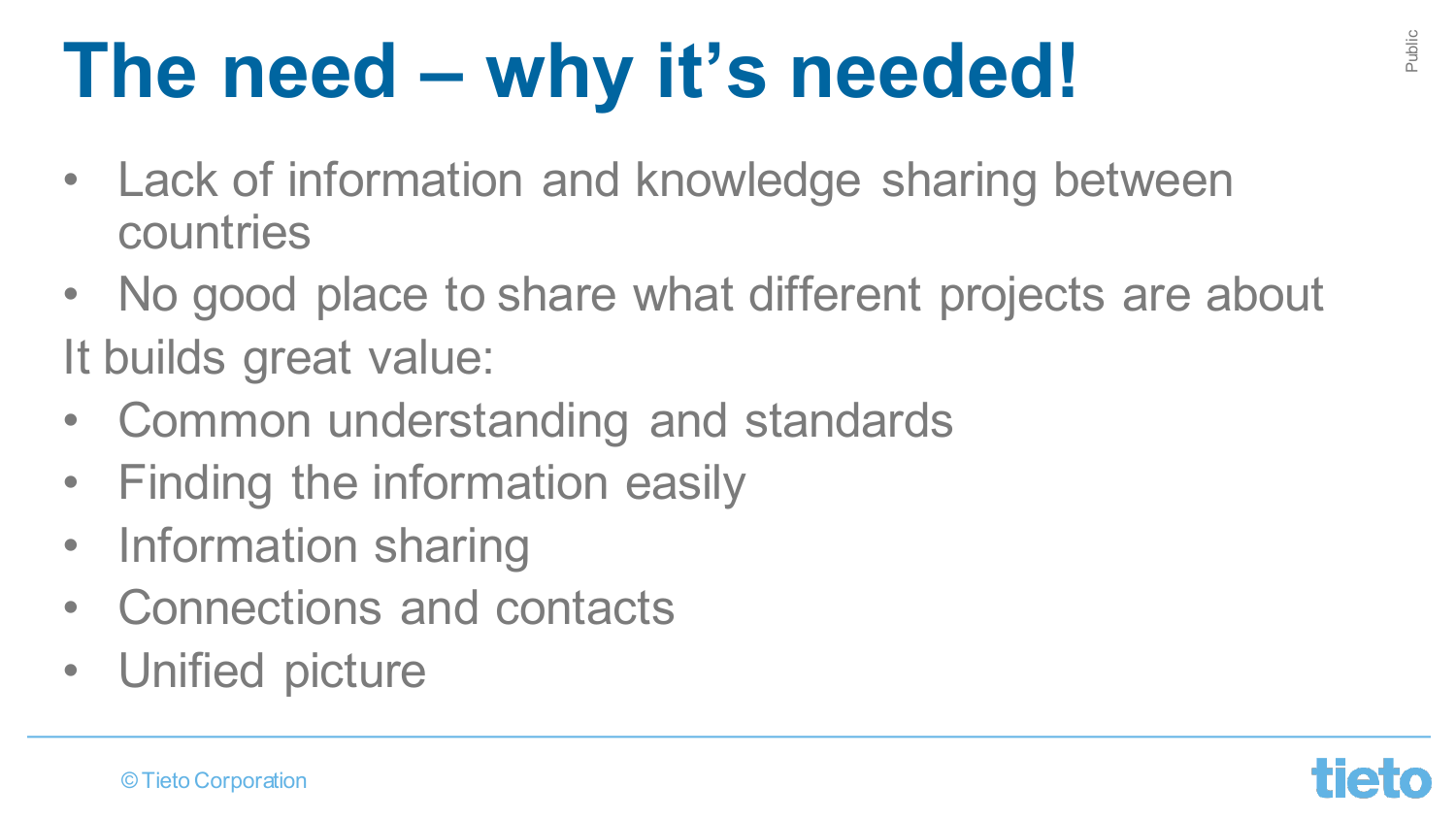## **The need – why it's needed!**

- Lack of information and knowledge sharing between countries
- No good place to share what different projects are about It builds great value:
- Common understanding and standards
- Finding the information easily
- Information sharing
- Connections and contacts
- Unified picture

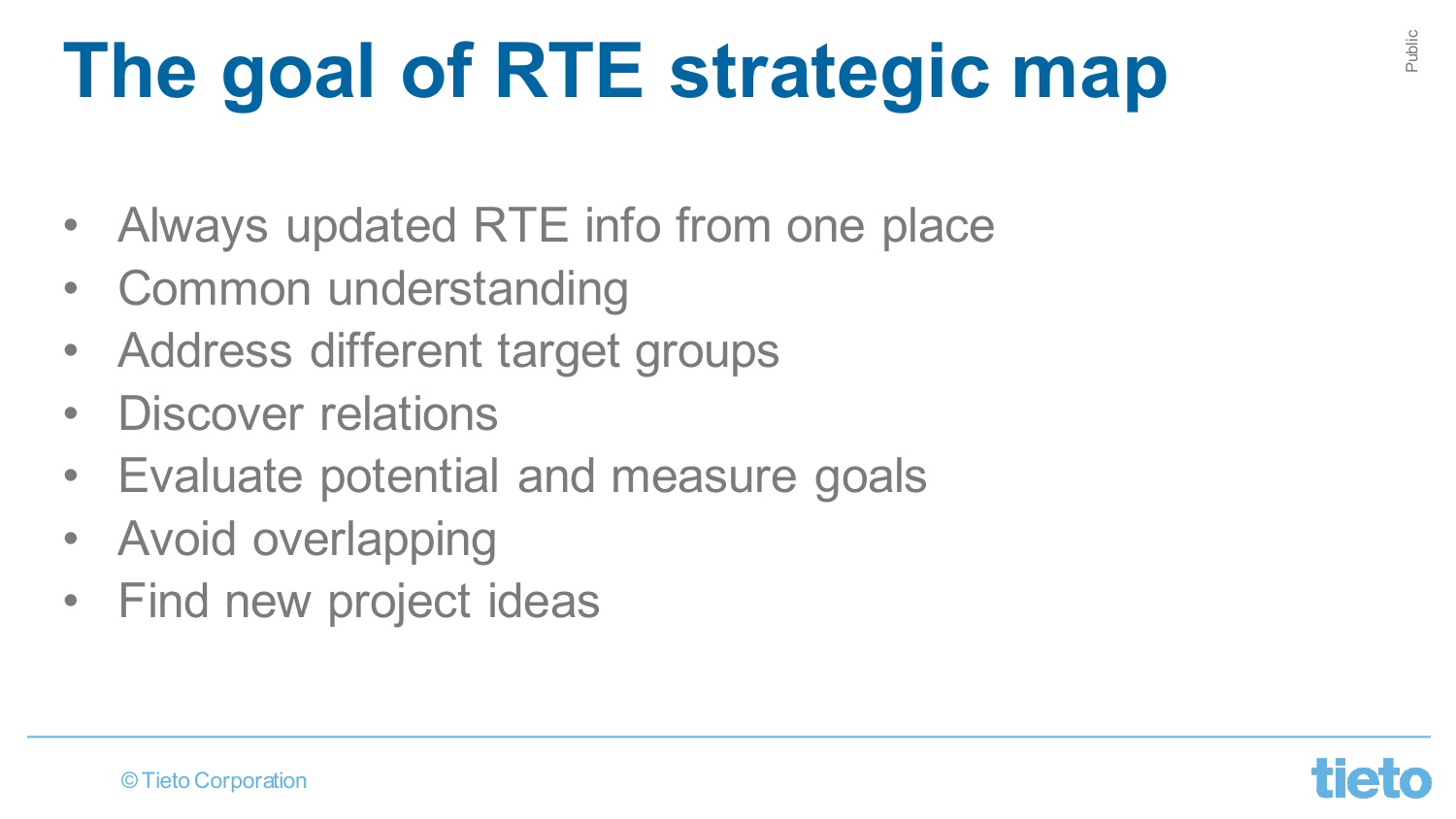# **The goal of RTE strategic map**

- Always updated RTE info from one place
- Common understanding
- Address different target groups
- Discover relations
- Evaluate potential and measure goals
- Avoid overlapping
- Find new project ideas



Public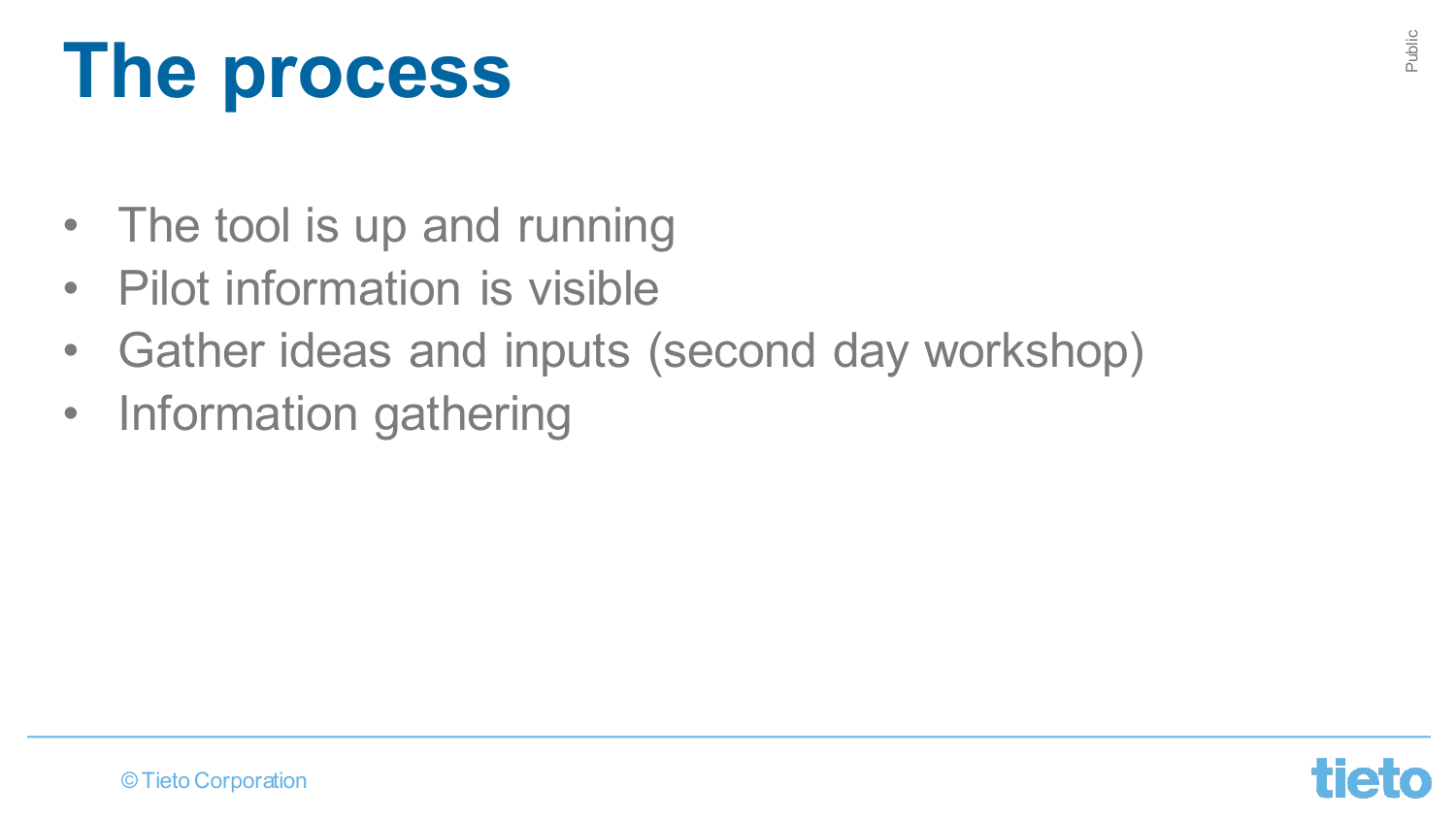# **The process**

- The tool is up and running
- Pilot information is visible
- Gather ideas and inputs (second day workshop)
- Information gathering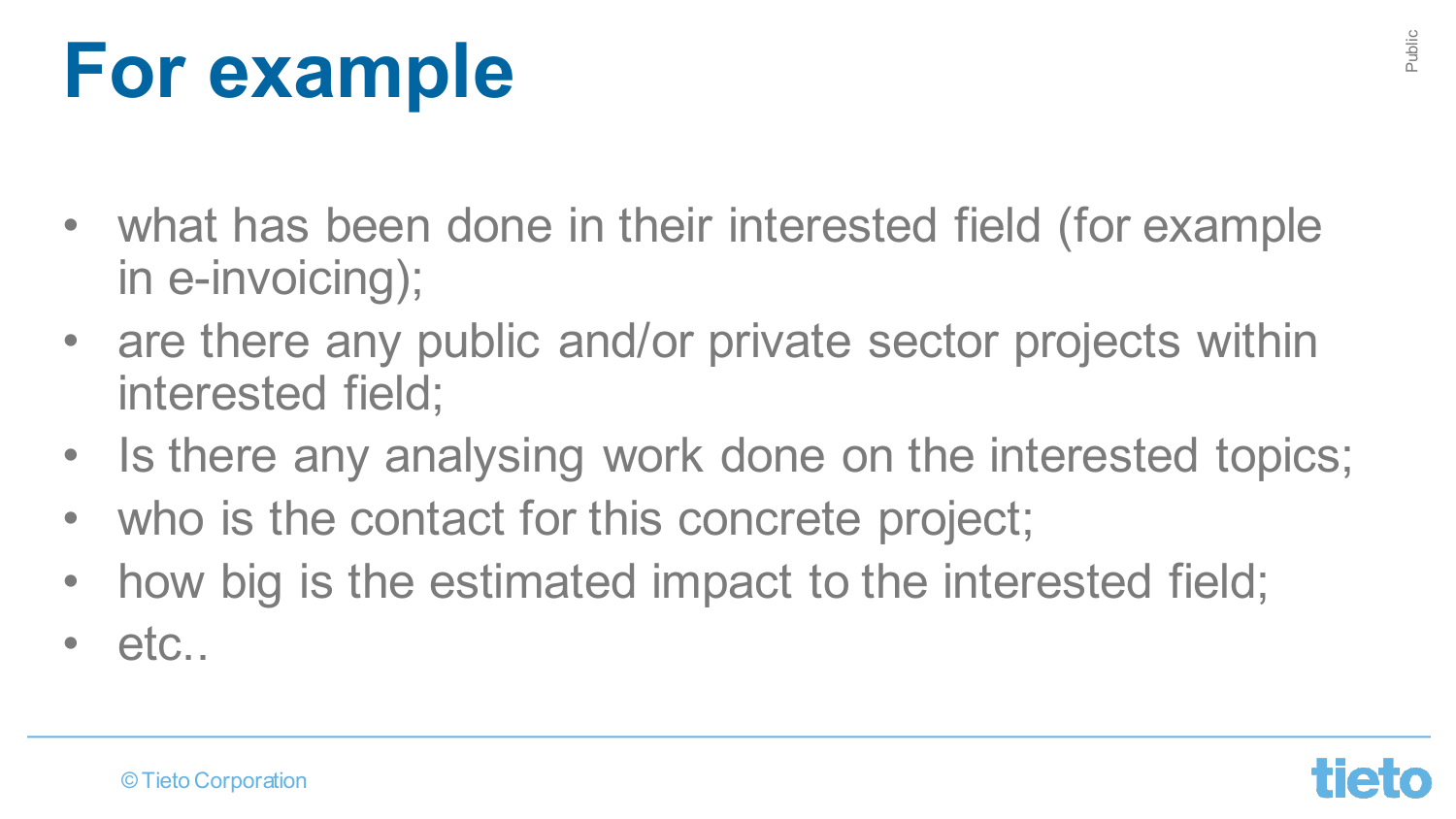### **For example**

- what has been done in their interested field (for example in e-invoicing);
- are there any public and/or private sector projects within interested field;
- Is there any analysing work done on the interested topics;
- who is the contact for this concrete project;
- how big is the estimated impact to the interested field;
- etc..

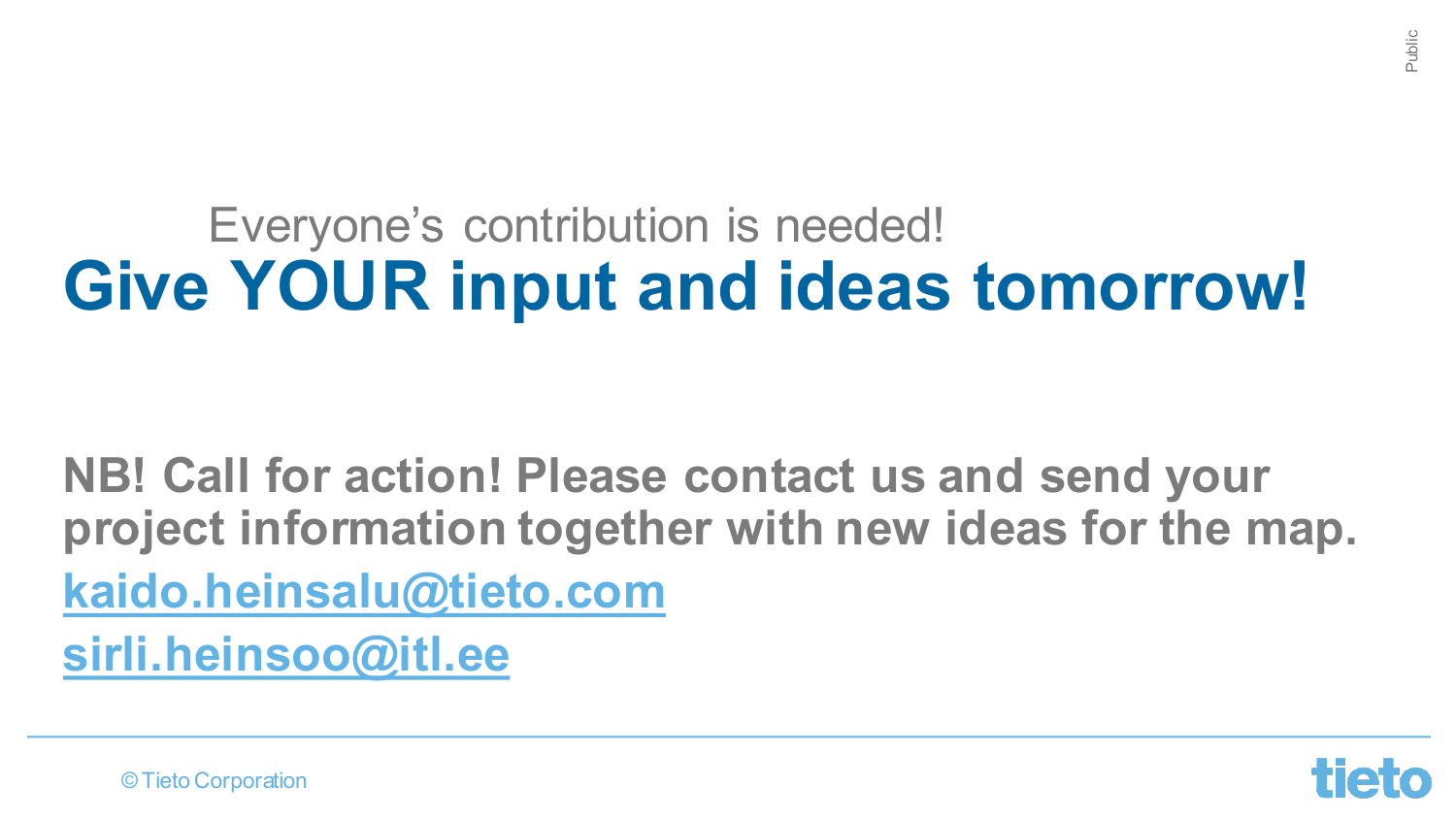#### **Give YOUR input and ideas tomorrow!** Everyone's contribution is needed!

**NB! Call for action! Please contact us and send your project information together with new ideas for the map. kaido.heinsalu@tieto.com sirli.heinsoo@itl.ee**